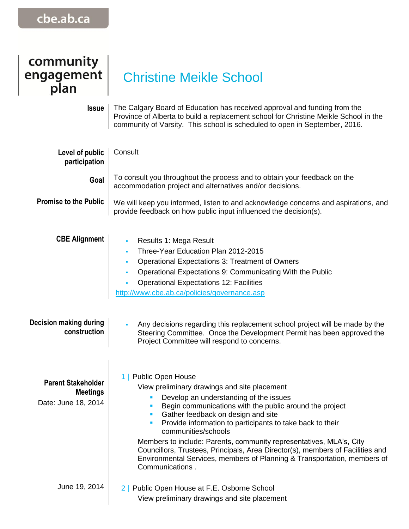| community<br>engagement<br>plan<br><b>Issue</b>                     | <b>Christine Meikle School</b><br>The Calgary Board of Education has received approval and funding from the<br>Province of Alberta to build a replacement school for Christine Meikle School in the                                                                                                                                                                                                                                                                                                                                                                            |
|---------------------------------------------------------------------|--------------------------------------------------------------------------------------------------------------------------------------------------------------------------------------------------------------------------------------------------------------------------------------------------------------------------------------------------------------------------------------------------------------------------------------------------------------------------------------------------------------------------------------------------------------------------------|
|                                                                     | community of Varsity. This school is scheduled to open in September, 2016.                                                                                                                                                                                                                                                                                                                                                                                                                                                                                                     |
| Level of public<br>participation                                    | Consult                                                                                                                                                                                                                                                                                                                                                                                                                                                                                                                                                                        |
| Goal                                                                | To consult you throughout the process and to obtain your feedback on the<br>accommodation project and alternatives and/or decisions.                                                                                                                                                                                                                                                                                                                                                                                                                                           |
| <b>Promise to the Public</b>                                        | We will keep you informed, listen to and acknowledge concerns and aspirations, and<br>provide feedback on how public input influenced the decision(s).                                                                                                                                                                                                                                                                                                                                                                                                                         |
| <b>CBE Alignment</b>                                                | Results 1: Mega Result<br>Three-Year Education Plan 2012-2015<br><b>Operational Expectations 3: Treatment of Owners</b><br>Operational Expectations 9: Communicating With the Public<br><b>Operational Expectations 12: Facilities</b><br>http://www.cbe.ab.ca/policies/governance.asp                                                                                                                                                                                                                                                                                         |
| <b>Decision making during</b><br>construction                       | Any decisions regarding this replacement school project will be made by the<br>Steering Committee. Once the Development Permit has been approved the<br>Project Committee will respond to concerns.                                                                                                                                                                                                                                                                                                                                                                            |
| <b>Parent Stakeholder</b><br><b>Meetings</b><br>Date: June 18, 2014 | 1   Public Open House<br>View preliminary drawings and site placement<br>Develop an understanding of the issues<br>$\blacksquare$<br>Begin communications with the public around the project<br>Gather feedback on design and site<br>Provide information to participants to take back to their<br>communities/schools<br>Members to include: Parents, community representatives, MLA's, City<br>Councillors, Trustees, Principals, Area Director(s), members of Facilities and<br>Environmental Services, members of Planning & Transportation, members of<br>Communications. |
| June 19, 2014                                                       | 2   Public Open House at F.E. Osborne School<br>View preliminary drawings and site placement                                                                                                                                                                                                                                                                                                                                                                                                                                                                                   |